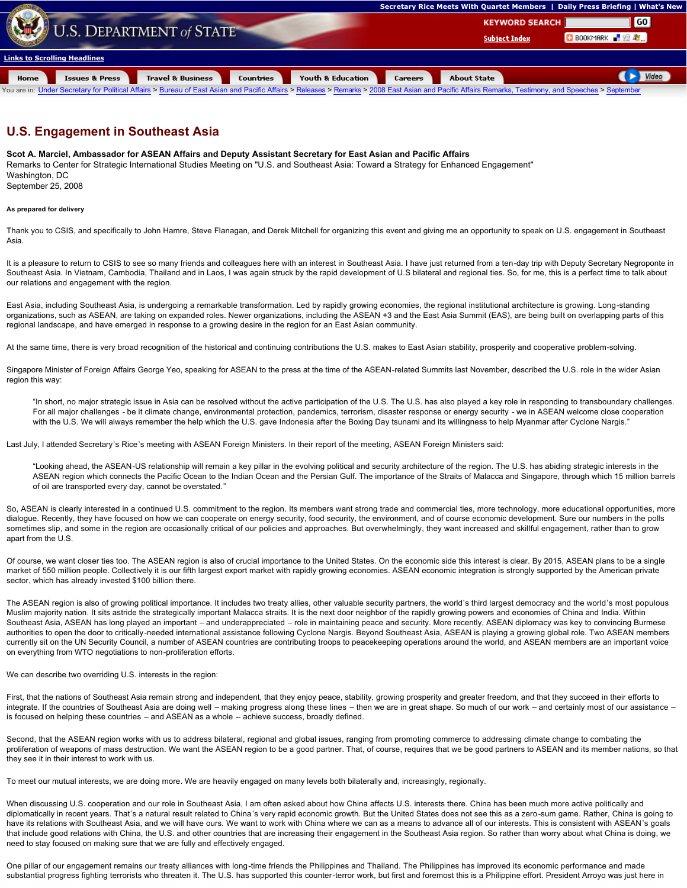

## **U.S. Engagement in Southeast Asia**

## **Scot A. Marciel, Ambassador for ASEAN Affairs and Deputy Assistant Secretary for East Asian and Pacific Affairs**

Remarks to Center for Strategic International Studies Meeting on "U.S. and Southeast Asia: Toward a Strategy for Enhanced Engagement" Washington, DC September 25, 2008

**As prepared for delivery**

Thank you to CSIS, and specifically to John Hamre, Steve Flanagan, and Derek Mitchell for organizing this event and giving me an opportunity to speak on U.S. engagement in Southeast Asia.

It is a pleasure to return to CSIS to see so many friends and colleagues here with an interest in Southeast Asia. I have just returned from a ten-day trip with Deputy Secretary Negroponte in Southeast Asia. In Vietnam, Cambodia, Thailand and in Laos, I was again struck by the rapid development of U.S bilateral and regional ties. So, for me, this is a perfect time to talk about our relations and engagement with the region.

East Asia, including Southeast Asia, is undergoing a remarkable transformation. Led by rapidly growing economies, the regional institutional architecture is growing. Long-standing organizations, such as ASEAN, are taking on expanded roles. Newer organizations, including the ASEAN +3 and the East Asia Summit (EAS), are being built on overlapping parts of this regional landscape, and have emerged in response to a growing desire in the region for an East Asian community.

At the same time, there is very broad recognition of the historical and continuing contributions the U.S. makes to East Asian stability, prosperity and cooperative problem-solving.

Singapore Minister of Foreign Affairs George Yeo, speaking for ASEAN to the press at the time of the ASEAN-related Summits last November, described the U.S. role in the wider Asian region this way:

"In short, no major strategic issue in Asia can be resolved without the active participation of the U.S. The U.S. has also played a key role in responding to transboundary challenges. For all major challenges - be it climate change, environmental protection, pandemics, terrorism, disaster response or energy security - we in ASEAN welcome close cooperation with the U.S. We will always remember the help which the U.S. gave Indonesia after the Boxing Day tsunami and its willingness to help Myanmar after Cyclone Nargis."

Last July, I attended Secretary's Rice's meeting with ASEAN Foreign Ministers. In their report of the meeting, ASEAN Foreign Ministers said:

"Looking ahead, the ASEAN-US relationship will remain a key pillar in the evolving political and security architecture of the region. The U.S. has abiding strategic interests in the ASEAN region which connects the Pacific Ocean to the Indian Ocean and the Persian Gulf. The importance of the Straits of Malacca and Singapore, through which 15 million barrels of oil are transported every day, cannot be overstated."

So, ASEAN is clearly interested in a continued U.S. commitment to the region. Its members want strong trade and commercial ties, more technology, more educational opportunities, more dialogue. Recently, they have focused on how we can cooperate on energy security, food security, the environment, and of course economic development. Sure our numbers in the polls sometimes slip, and some in the region are occasionally critical of our policies and approaches. But overwhelmingly, they want increased and skillful engagement, rather than to grow apart from the U.S.

Of course, we want closer ties too. The ASEAN region is also of crucial importance to the United States. On the economic side this interest is clear. By 2015, ASEAN plans to be a single market of 550 million people. Collectively it is our fifth largest export market with rapidly growing economies. ASEAN economic integration is strongly supported by the American private sector, which has already invested \$100 billion there.

The ASEAN region is also of growing political importance. It includes two treaty allies, other valuable security partners, the world's third largest democracy and the world's most populous Muslim majority nation. It sits astride the strategically important Malacca straits. It is the next door neighbor of the rapidly growing powers and economies of China and India. Within Southeast Asia, ASEAN has long played an important – and underappreciated – role in maintaining peace and security. More recently, ASEAN diplomacy was key to convincing Burmese authorities to open the door to critically-needed international assistance following Cyclone Nargis. Beyond Southeast Asia, ASEAN is playing a growing global role. Two ASEAN members currently sit on the UN Security Council, a number of ASEAN countries are contributing troops to peacekeeping operations around the world, and ASEAN members are an important voice on everything from WTO negotiations to non-proliferation efforts.

We can describe two overriding U.S. interests in the region:

First, that the nations of Southeast Asia remain strong and independent, that they enjoy peace, stability, growing prosperity and greater freedom, and that they succeed in their efforts to integrate. If the countries of Southeast Asia are doing well – making progress along these lines – then we are in great shape. So much of our work – and certainly most of our assistance is focused on helping these countries - and ASEAN as a whole - achieve success, broadly defined.

Second, that the ASEAN region works with us to address bilateral, regional and global issues, ranging from promoting commerce to addressing climate change to combating the prediction of we proportion of we proportion of we proliferation of weapons of mass destruction. We want the ASEAN region to be a good partner. That, of course, requires that we be good partners to ASEAN and its member nations, so that they see it in their interest to work with us.

To meet our mutual interests, we are doing more. We are heavily engaged on many levels both bilaterally and, increasingly, regionally.

When discussing U.S. cooperation and our role in Southeast Asia, I am often asked about how China affects U.S. interests there. China has been much more active politically and diplomatically in recent years. That's a natural result related to China's very rapid economic growth. But the United States does not see this as a zero-sum game. Rather, China is going to have its relations with Southeast Asia, and we will have ours. We want to work with China where we can as a means to advance all of our interests. This is consistent with ASEAN's goals that include good relations with China, the U.S. and other countries that are increasing their engagement in the Southeast Asia region. So rather than worry about what China is doing, we need to stay focused on making sure that we are fully and effectively engaged.

One pillar of our engagement remains our treaty alliances with long-time friends the Philippines and Thailand. The Philippines has improved its economic performance and made substantial progress fighting terrorists who threaten it. The U.S. has supported this counter-terror work, but first and foremost this is a Philippine effort. President Arroyo was just here in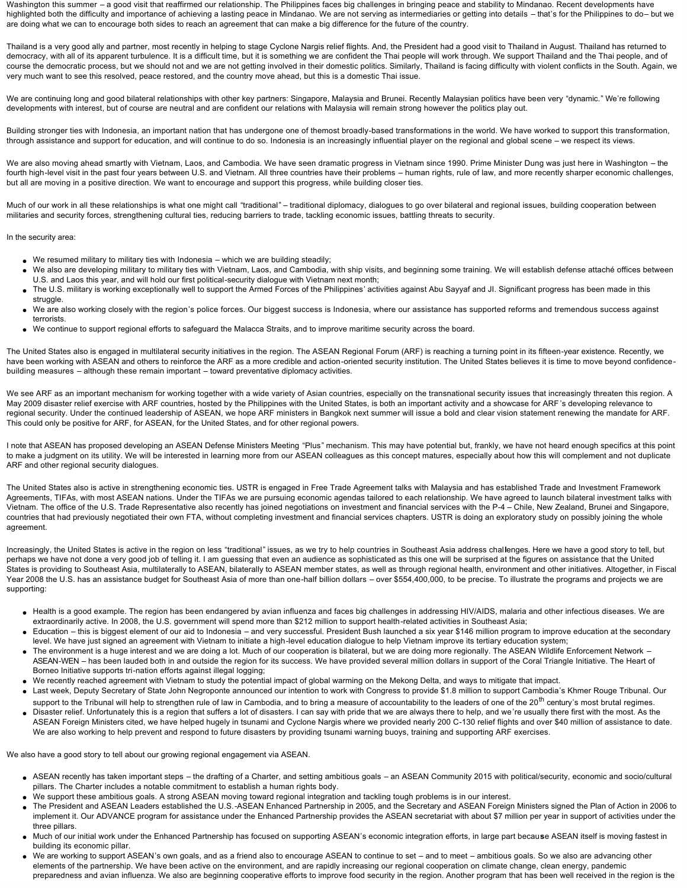Washington this summer – a good visit that reaffirmed our relationship. The Philippines faces big challenges in bringing peace and stability to Mindanao. Recent developments have highlighted both the difficulty and importance of achieving a lasting peace in Mindanao. We are not serving as intermediaries or getting into details – that's for the Philippines to do– but we are doing what we can to encourage both sides to reach an agreement that can make a big difference for the future of the country.

Thailand is a very good ally and partner, most recently in helping to stage Cyclone Nargis relief flights. And, the President had a good visit to Thailand in August. Thailand has returned to democracy, with all of its apparent turbulence. It is a difficult time, but it is something we are confident the Thai people will work through. We support Thailand and the Thai people, and of course the democratic process, but we should not and we are not getting involved in their domestic politics. Similarly, Thailand is facing difficulty with violent conflicts in the South. Again, we very much want to see this resolved, peace restored, and the country move ahead, but this is a domestic Thai issue.

We are continuing long and good bilateral relationships with other key partners: Singapore, Malaysia and Brunei. Recently Malaysian politics have been very "dynamic." We're following developments with interest, but of course are neutral and are confident our relations with Malaysia will remain strong however the politics play out.

Building stronger ties with Indonesia, an important nation that has undergone one of themost broadly-based transformations in the world. We have worked to support this transformation, through assistance and support for education, and will continue to do so. Indonesia is an increasingly influential player on the regional and global scene – we respect its views.

We are also moving ahead smartly with Vietnam, Laos, and Cambodia. We have seen dramatic progress in Vietnam since 1990. Prime Minister Dung was just here in Washington – the fourth high-level visit in the past four years between U.S. and Vietnam. All three countries have their problems – human rights, rule of law, and more recently sharper economic challenges, but all are moving in a positive direction. We want to encourage and support this progress, while building closer ties.

Much of our work in all these relationships is what one might call "traditional" – traditional diplomacy, dialoques to go over bilateral and regional issues, building cooperation between militaries and security forces, strengthening cultural ties, reducing barriers to trade, tackling economic issues, battling threats to security.

In the security area:

- $\bullet$  We resumed military to military ties with Indonesia which we are building steadily;
- We also are developing military to military ties with Vietnam, Laos, and Cambodia, with ship visits, and beginning some training. We will establish defense attaché offices between U.S. and Laos this year, and will hold our first political-security dialogue with Vietnam next month;
- The U.S. military is working exceptionally well to support the Armed Forces of the Philippines' activities against Abu Sayyaf and JI. Significant progress has been made in this struggle.
- l We are also working closely with the region's police forces. Our biggest success is Indonesia, where our assistance has supported reforms and tremendous success against terrorists.
- l We continue to support regional efforts to safeguard the Malacca Straits, and to improve maritime security across the board.

The United States also is engaged in multilateral security initiatives in the region. The ASEAN Regional Forum (ARF) is reaching a turning point in its fifteen-year existence. Recently, we have been working with ASEAN and others to reinforce the ARF as a more credible and action-oriented security institution. The United States believes it is time to move beyond confidencebuilding measures – although these remain important – toward preventative diplomacy activities.

We see ARF as an important mechanism for working together with a wide variety of Asian countries, especially on the transnational security issues that increasingly threaten this region. A May 2009 disaster relief exercise with ARF countries, hosted by the Philippines with the United States, is both an important activity and a showcase for ARF's developing relevance to regional security. Under the continued leadership of ASEAN, we hope ARF ministers in Bangkok next summer will issue a bold and clear vision statement renewing the mandate for ARF. This could only be positive for ARF, for ASEAN, for the United States, and for other regional powers.

I note that ASEAN has proposed developing an ASEAN Defense Ministers Meeting "Plus" mechanism. This may have potential but, frankly, we have not heard enough specifics at this point to make a judgment on its utility. We will be interested in learning more from our ASEAN colleagues as this concept matures, especially about how this will complement and not duplicate ARF and other regional security dialogues.

The United States also is active in strengthening economic ties. USTR is engaged in Free Trade Agreement talks with Malaysia and has established Trade and Investment Framework Agreements, TIFAs, with most ASEAN nations. Under the TIFAs we are pursuing economic agendas tailored to each relationship. We have agreed to launch bilateral investment talks with Vietnam. The office of the U.S. Trade Representative also recently has joined negotiations on investment and financial services with the P4 – Chile, New Zealand, Brunei and Singapore, countries that had previously negotiated their own FTA, without completing investment and financial services chapters. USTR is doing an exploratory study on possibly joining the whole agreement.

Increasingly, the United States is active in the region on less "traditional" issues, as we try to help countries in Southeast Asia address chal**l**enges. Here we have a good story to tell, but perhaps we have not done a very good job of telling it. I am guessing that even an audience as sophisticated as this one will be surprised at the figures on assistance that the United States is providing to Southeast Asia, multilaterally to ASEAN, bilaterally to ASEAN member states, as well as through regional health, environment and other initiatives. Altogether, in Fiscal Year 2008 the U.S. has an assistance budget for Southeast Asia of more than one-half billion dollars – over \$554,400,000, to be precise. To illustrate the programs and projects we are supporting:

- l Health is a good example. The region has been endangered by avian influenza and faces big challenges in addressing HIV/AIDS, malaria and other infectious diseases. We are extraordinarily active. In 2008, the U.S. government will spend more than \$212 million to support health-related activities in Southeast Asia;
- Education this is biggest element of our aid to Indonesia and very successful. President Bush launched a six year \$146 million program to improve education at the secondary level. We have just signed an agreement with Vietnam to initiate a high-level education dialogue to help Vietnam improve its tertiary education system;
- The environment is a huge interest and we are doing a lot. Much of our cooperation is bilateral, but we are doing more regionally. The ASEAN Wildlife Enforcement Network -ASEAN-WEN - has been lauded both in and outside the region for its success. We have provided several million dollars in support of the Coral Triangle Initiative. The Heart of Borneo Initiative supports tri-nation efforts against illegal logging;
- l We recently reached agreement with Vietnam to study the potential impact of global warming on the Mekong Delta, and ways to mitigate that impact.
- Last week, Deputy Secretary of State John Negroponte announced our intention to work with Congress to provide \$1.8 million to support Cambodia's Khmer Rouge Tribunal. Our support to the Tribunal will help to strengthen rule of law in Cambodia, and to bring a measure of accountability to the leaders of one of the 20<sup>th</sup> century's most brutal regimes.
- Disaster relief. Unfortunately this is a region that suffers a lot of disasters. I can say with pride that we are always there to help, and we're usually there first with the most. As the ASEAN Foreign Ministers cited, we have helped hugely in tsunami and Cyclone Nargis where we provided nearly 200 C-130 relief flights and over \$40 million of assistance to date. We are also working to help prevent and respond to future disasters by providing tsunami warning buoys, training and supporting ARF exercises.

We also have a good story to tell about our growing regional engagement via ASEAN.

- ASEAN recently has taken important steps the drafting of a Charter, and setting ambitious goals an ASEAN Community 2015 with political/security, economic and socio/cultural pillars. The Charter includes a notable commitment to establish a human rights body.
- We support these ambitious goals. A strong ASEAN moving toward regional integration and tackling tough problems is in our interest.
- The President and ASEAN Leaders established the U.S.-ASEAN Enhanced Partnership in 2005, and the Secretary and ASEAN Foreign Ministers signed the Plan of Action in 2006 to implement it. Our ADVANCE program for assistance under the Enhanced Partnership provides the ASEAN secretariat with about \$7 million per year in support of activities under the three pillars.
- l Much of our initial work under the Enhanced Partnership has focused on supporting ASEAN's economic integration efforts, in large part becau**s**e ASEAN itself is moving fastest in building its economic pillar.
- We are working to support ASEAN's own goals, and as a friend also to encourage ASEAN to continue to set and to meet ambitious goals. So we also are advancing other elements of the partnership. We have been active on the environment, and are rapidly increasing our regional cooperation on climate change, clean energy, pandemic preparedness and avian influenza. We also are beginning cooperative efforts to improve food security in the region. Another program that has been well received in the region is the